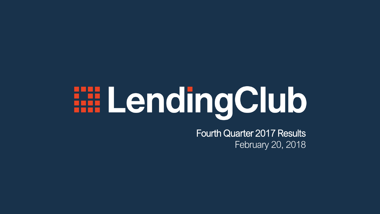# **EE LendingClub**

Fourth Quarter 2017 Results February 20, 2018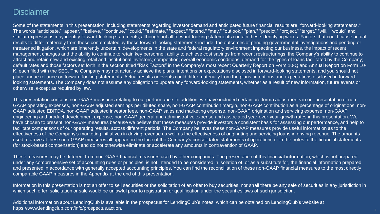### **Disclaimer**

Some of the statements in this presentation, including statements regarding investor demand and anticipated future financial results are "forward-looking statements." The words "anticipate," "appear," "believe," "continue," "could," "estimate," "expect," "intend," "may," "outlook," "plan," "predict," "project," "target," "will," "would" and similar expressions may identify forward-looking statements, although not all forward-looking statements contain these identifying words. Factors that could cause actual results to differ materially from those contemplated by these forward-looking statements include: the outcomes of pending governmental investigations and pending or threatened litigation, which are inherently uncertain; developments in the state and federal regulatory environment impacting our business, the impact of recent management changes and the ability to continue to retain key personnel; ability to achieve cost savings from recent restructurings; the Company's ability to continue to attract and retain new and existing retail and institutional investors; competition; overall economic conditions; demand for the types of loans facilitated by the Company; default rates and those factors set forth in the section titled "Risk Factors" in the Company's most recent Quarterly Report on Form 10-Q and Annual Report on Form 10- K, each filed with the SEC. The Company may not actually achieve the plans, intentions or expectations disclosed in forward-looking statements, and you should not place undue reliance on forward-looking statements. Actual results or events could differ materially from the plans, intentions and expectations disclosed in forwardlooking statements. The Company does not assume any obligation to update any forward-looking statements, whether as a result of new information, future events or otherwise, except as required by law.

This presentation contains non-GAAP measures relating to our performance. In addition, we have included certain pro forma adjustments in our presentation of non-GAAP operating expenses, non-GAAP adjusted earnings per diluted share, non-GAAP contribution margin, non-GAAP contribution as a percentage of originations, non-GAAP adjusted EBITDA, non-GAAP adjusted investor fees, non-GAAP sales and marketing expense, non-GAAP origination and servicing expense, non-GAAP engineering and product development expense, non-GAAP general and administrative expense and associated year-over-year growth rates in this presentation. We have chosen to present non-GAAP measures because we believe that these measures provide investors a consistent basis for assessing our performance, and help to facilitate comparisons of our operating results, across different periods. The Company believes these non-GAAP measures provide useful information as to the effectiveness of the Company's marketing initiatives in driving revenue as well as the effectiveness of originating and servicing loans in driving revenue. The amounts used to arrive at these non-GAAP measures all appear on the face of the Company's consolidated statements of operations or in the notes to the financial statements (for stock-based compensation) and do not otherwise eliminate or accelerate any amounts in contravention of GAAP.

These measures may be different from non-GAAP financial measures used by other companies. The presentation of this financial information, which is not prepared under any comprehensive set of accounting rules or principles, is not intended to be considered in isolation of, or as a substitute for, the financial information prepared and presented in accordance with generally accepted accounting principles. You can find the reconciliation of these non-GAAP financial measures to the most directly comparable GAAP measures in the Appendix at the end of this presentation.

Information in this presentation is not an offer to sell securities or the solicitation of an offer to buy securities, nor shall there be any sale of securities in any jurisdiction in which such offer, solicitation or sale would be unlawful prior to registration or qualification under the securities laws of such jurisdiction.

Additional information about LendingClub is available in the prospectus for LendingClub's notes, which can be obtained on LendingClub's website at https://www.lendingclub.com/info/prospectus.action.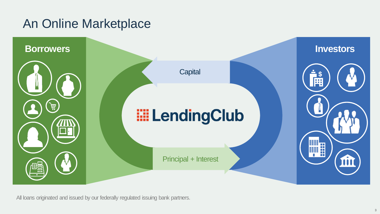## An Online Marketplace



All loans originated and issued by our federally regulated issuing bank partners.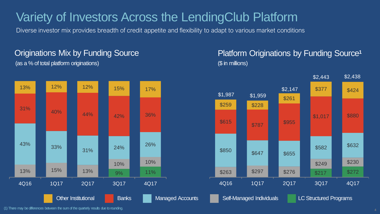## Variety of Investors Across the LendingClub Platform

Diverse investor mix provides breadth of credit appetite and flexibility to adapt to various market conditions

### Originations Mix by Funding Source (as a % of total platform originations) (\$ in millions)



## Platform Originations by Funding Source**<sup>1</sup>**



(1) There may be differences between the sum of the quarterly results due to rounding.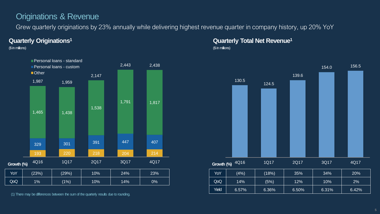## Originations & Revenue

Grew quarterly originations by 23% annually while delivering highest revenue quarter in company history, up 20% YoY

#### **Quarterly Originations<sup>1</sup>**

(\$ in millions)



(1) There may be differences between the sum of the quarterly results due to rounding.

**Quarterly Total Net Revenue<sup>1</sup>** (\$ in millions)

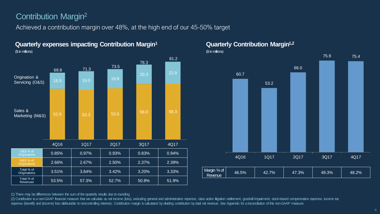## Contribution Margin<sup>2</sup>

Achieved a contribution margin over 48%, at the high end of our 45-50% target



#### **Quarterly expenses impacting Contribution Margin<sup>1</sup>** (\$ in millions)

**Quarterly Contribution Margin1,2**



(1) There may be differences between the sum of the quarterly results due to rounding.

(2) Contribution is a non-GAAP financial measure that we calculate as net income (loss), excluding general and administrative expense, class action litigation settlement, goodwill impairment, stock-based compensation expen expense (benefit) and (income) loss attributable to noncontrolling interests. Contribution margin is calculated by dividing contribution by total net revenue. See Appendix for a reconciliation of this non-GAAP measure.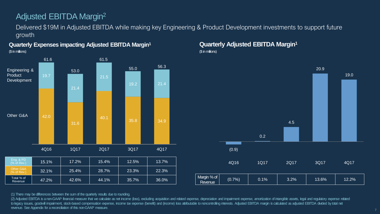## Adjusted EBITDA Margin<sup>2</sup>

Delivered \$19M in Adjusted EBITDA while making key Engineering & Product Development investments to support future growth



#### **Quarterly Expenses impacting Adjusted EBITDA Margin<sup>1</sup>**

#### **Quarterly Adjusted EBITDA Margin<sup>1</sup>**

(\$ in millions)



(1) There may be differences between the sum of the quarterly results due to rounding.

(2) Adjusted EBITDA is a non-GAAP financial measure that we calculate as net income (loss), excluding acquisition and related expense, depreciation and impairment expense, amortization of intangible assets, legal and requl to legacy issues, goodwill impairment, stock-based compensation expense, income tax expense (benefit) and (income) loss attributable to noncontrolling interests. Adjusted EBITDA margin is calculated as adjusted EBITDA divi revenue. See Appendix for a reconciliation of this non-GAAP measure.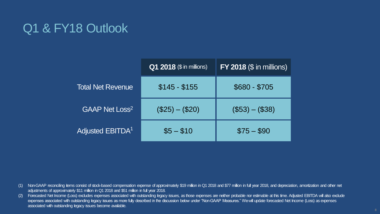## Q1 & FY18 Outlook

|                                  | <b>Q1 2018</b> (\$ in millions) | $FY$ 2018 ( $$$ in millions) |
|----------------------------------|---------------------------------|------------------------------|
| <b>Total Net Revenue</b>         | $$145 - $155$                   | $$680 - $705$                |
| <b>GAAP Net Loss<sup>2</sup></b> | $($25) - ($20)$                 | $($53) - ($38)$              |
| Adjusted EBITDA <sup>1</sup>     | $$5 - $10$                      | $$75 - $90$                  |

(1) Non-GAAP reconciling items consist of stock-based compensation expense of approximately \$19 million in Q1 2018 and \$77 million in full year 2018, and depreciation, amortization and other net adjustments of approximately \$11 million in Q1 2018 and \$51 million in full year 2018.

(2) Forecasted Net Income (Loss) excludes expenses associated with outstanding legacy issues, as those expenses are neither probable nor estimable at this time. Adjusted EBITDA will also exclude expenses associated with outstanding legacy issues as more fully described in the discussion below under "Non-GAAP Measures." Wewill update forecasted Net Income (Loss) as expenses associated with outstanding legacy issues become available.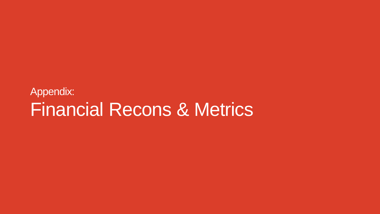## Appendix: Financial Recons & Metrics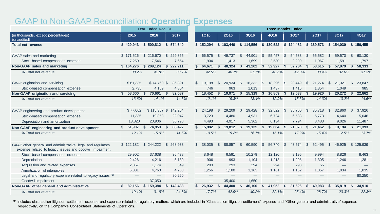## GAAP to Non-GAAP Reconciliation: **Operating Expenses**

|                                                                                                                         |                               | Year Ended Dec. 31, |                          |               |                          |               |                                 |               |           |                |                          |              | <b>Three Months Ended</b> |              |             |              |                          |              |           |  |  |  |  |  |
|-------------------------------------------------------------------------------------------------------------------------|-------------------------------|---------------------|--------------------------|---------------|--------------------------|---------------|---------------------------------|---------------|-----------|----------------|--------------------------|--------------|---------------------------|--------------|-------------|--------------|--------------------------|--------------|-----------|--|--|--|--|--|
| (in thousands, except percentages)<br>(unaudited)                                                                       | 2015                          | 2016                | 2017                     |               | <b>1Q16</b>              |               | <b>2Q16</b>                     |               | 3Q16      |                | 4Q16                     |              | <b>1Q17</b>               |              | <b>2Q17</b> |              | 3Q17                     |              | 4Q17      |  |  |  |  |  |
| <b>Total net revenue</b>                                                                                                | \$429,943                     | \$500,812           | \$574,540                |               | \$152,294                |               | \$103,440                       |               | \$114,556 |                | \$130,522                |              | \$124,482                 |              | \$139,573   |              | \$154,030                |              | \$156,455 |  |  |  |  |  |
| GAAP sales and marketing                                                                                                | \$171,526                     | \$ 216,670          | $\mathbb{S}$<br>229.865  |               | \$66,575                 | $\mathcal{S}$ | 49.737                          | $\mathcal{S}$ | 44,901    | $\mathfrak{L}$ | 55,457                   | \$           | 54,583                    | $\mathbb{S}$ | 55,582      | \$.          | 59,570                   | $\mathbf{s}$ | 60,130    |  |  |  |  |  |
| Stock-based compensation expense                                                                                        | 7,250                         | 7,546               | 7,654                    |               | 1,904                    |               | 1,413                           |               | 1,699     |                | 2,530                    |              | 2,299                     |              | 1,967       |              | 1,591                    |              | 1,797     |  |  |  |  |  |
| Non-GAAP sales and marketing                                                                                            | \$164,276                     | \$209,124           | 222,211<br>-S            | s.            | 64,671                   | - \$          | 48,324                          | S             | 43,202    | S.             | 52,927                   | - \$         | 52,284                    | S.           | 53,615      | S.           | 57,979                   | - \$         | 58,333    |  |  |  |  |  |
| % Total net revenue                                                                                                     | 38.2%                         | 41.8%               | 38.7%                    |               | 42.5%                    |               | 46.7%                           |               | 37.7%     |                | 40.6%                    |              | 42.0%                     |              | 38.4%       |              | 37.6%                    |              | 37.3%     |  |  |  |  |  |
|                                                                                                                         |                               |                     |                          |               |                          |               |                                 |               |           |                |                          |              |                           |              |             |              |                          |              |           |  |  |  |  |  |
| GAAP origination and servicing                                                                                          | \$61,335                      | \$74,760 \$         | 86.891                   | $\mathcal{S}$ | 19,198                   | $\mathcal{S}$ | 20,934                          | <b>S</b>      | 16,332    | <sup>\$</sup>  | 18,296                   | \$           | 20,449                    | \$           | 21,274      | -S           | 21,321                   | $\mathbb{S}$ | 23,847    |  |  |  |  |  |
| Stock-based compensation expense                                                                                        | 2,735                         | 4,159               | 4,804                    |               | 746                      |               | 963                             |               | 1,013     |                | 1,437                    |              | 1,416                     |              | 1,354       |              | 1,049                    |              | 985       |  |  |  |  |  |
| Non-GAAP origination and servicing                                                                                      | 58,600                        | 70,601<br>-S        | 82,087<br>-S             | S.            | 18,452                   | S.            | 19,971                          | -S            | 15,319    | -S             | 16,859                   | -S.          | 19,033                    | -S           | 19,920      | S.           | 20,272                   | - \$         | 22,862    |  |  |  |  |  |
| % Total net revenue                                                                                                     | 13.6%                         | 14.1%               | 14.3%                    |               | 12.1%                    |               | 19.3%                           |               | 13.4%     |                | 12.9%                    |              | 15.3%                     |              | 14.3%       |              | 13.2%                    |              | 14.6%     |  |  |  |  |  |
|                                                                                                                         |                               |                     |                          |               |                          |               |                                 |               |           |                |                          |              |                           |              |             |              |                          |              |           |  |  |  |  |  |
| GAAP engineering and product development                                                                                | \$77,062                      | \$115,357 \$        | 142,264                  |               | \$24,198                 | \$            | 29,209                          | -S            | 29,428    | <b>S</b>       | 32,522                   | -S           | 35,760                    | - S          | 35,718      | -S           | 32,860                   | <b>S</b>     | 37,926    |  |  |  |  |  |
| Stock-based compensation expense                                                                                        | 11,335                        | 19,858              | 22,047                   |               | 3,723                    |               | 4,480                           |               | 4,931     |                | 6,724                    |              | 6,588                     |              | 5,773       |              | 4,640                    |              | 5,046     |  |  |  |  |  |
| Depreciation and amortization                                                                                           | 13,820                        | 20,906              | 36,790                   |               | 4,493                    |               | 4,917                           |               | 5,362     |                | 6,134                    |              | 7,794                     |              | 8,483       |              | 9,026                    |              | 11,487    |  |  |  |  |  |
| Non-GAAP engineering and product development                                                                            | 51,907<br>\$                  | 74,953<br>- 5       | 83,427<br>- \$           | s.            | 15,982                   | -S            | 19,812 \$                       |               | 19,135    | - \$           | 19,664                   | - \$         | 21,378                    | S.           | 21,462      | -\$          | 19,194 \$                |              | 21,393    |  |  |  |  |  |
| % Total net revenue                                                                                                     | 12.1%                         | 15.0%               | 14.5%                    |               | 10.5%                    |               | 19.2%                           |               | 16.7%     |                | 15.1%                    |              | 17.2%                     |              | 15.4%       |              | 12.5%                    |              | 13.7%     |  |  |  |  |  |
|                                                                                                                         |                               |                     |                          |               |                          |               |                                 |               |           |                |                          |              |                           |              |             |              |                          |              |           |  |  |  |  |  |
| GAAP other general and administrative, legal and regulatory<br>expense related to legacy issues and goodwill impairment | \$122.182                     | \$244,222           | $\mathbb{S}$<br>268,933  |               | \$38.035                 | $\mathbb{S}$  | 88.857                          | \$            | 60,590    | $\mathbb{S}$   | 56,740                   | $\mathbb{S}$ | 43,574                    | $\mathbb{S}$ | 52.495      | $\mathbb{S}$ | 46.925                   | $\mathbb{S}$ | 125.939   |  |  |  |  |  |
| Stock-based compensation expense                                                                                        | 29,902                        | 37,638              | 36,478                   |               | 8,648                    |               | 6,591                           |               | 10,279    |                | 12,120                   |              | 9,195                     |              | 9.994       |              | 8,826                    |              | 8,463     |  |  |  |  |  |
| Depreciation                                                                                                            | 2,426                         | 4,216               | 5,130                    |               | 906                      |               | 993                             |               | 1,104     |                | 1,213                    |              | 1,298                     |              | 1,305       |              | 1,246                    |              | 1,281     |  |  |  |  |  |
| Acquisition and related expenses                                                                                        | 2,367                         | 1,174               | 349                      |               | 293                      |               | 293                             |               | 294       |                | 294                      |              | 293                       |              | 56          |              | $\overline{\phantom{m}}$ |              |           |  |  |  |  |  |
| Amortization of intangibles                                                                                             | 5,331                         | 4,760               | 4,288                    |               | 1,256                    |               | 1.180                           |               | 1,163     |                | 1,161                    |              | 1,162                     |              | 1,057       |              | 1,034                    |              | 1,035     |  |  |  |  |  |
| Legal and regulatory expense related to legacy issues (1)                                                               |                               |                     | 80,250                   |               |                          |               | $\hspace{0.1mm}-\hspace{0.1mm}$ |               |           |                |                          |              |                           |              |             |              |                          |              | 80,250    |  |  |  |  |  |
| Goodwill impairment                                                                                                     | $\overbrace{\phantom{12333}}$ | 37,050              | $\overline{\phantom{m}}$ |               | $\overline{\phantom{0}}$ |               | 35,400                          |               | 1,650     |                | $\overline{\phantom{0}}$ |              |                           |              |             |              |                          |              |           |  |  |  |  |  |
| Non-GAAP other general and administrative                                                                               | 82,156                        | 159,384<br>-5       | 142,438<br>s.            |               | 26,932                   | -5            | 44,400                          |               | 46,100    |                | 41,952                   | - 55         | 31,626                    | S            | 40,083      |              | 35,819                   | - 55         | 34,910    |  |  |  |  |  |
| % Total net revenue                                                                                                     | 19.1%                         | 31.8%               | 24.8%                    |               | 17.7%                    |               | 42.9%                           |               | 40.2%     |                | 32.1%                    |              | 25.4%                     |              | 28.7%       |              | 23.3%                    |              | 22.3%     |  |  |  |  |  |

(1) Includes class action litigation settlement expense and expense related to regulatory matters, which are included in "Class action litigation settlement" expense and "Other general and administrative" expense, respectively, on the Company's Consolidated Statements of Operations.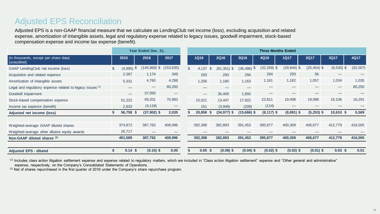## Adjusted EPS Reconciliation

Adjusted EPS is a non-GAAP financial measure that we calculate as LendingClub net income (loss), excluding acquisition and related expense, amortization of intangible assets, legal and regulatory expense related to legacy issues, goodwill impairment, stock-based compensation expense and income tax expense (benefit).

|                                                           |                       | Year Ended Dec. 31,            |                                | <b>Three Months Ended</b> |    |                    |                 |                |                |                |                          |          |  |  |  |
|-----------------------------------------------------------|-----------------------|--------------------------------|--------------------------------|---------------------------|----|--------------------|-----------------|----------------|----------------|----------------|--------------------------|----------|--|--|--|
| (in thousands, except per share data)<br>(unaudited)      | 2015                  | 2016                           | 2017                           | <b>1Q16</b>               |    | <b>2Q16</b>        | 3Q16            | 4Q16           | <b>1Q17</b>    | <b>2Q17</b>    | 3Q17                     | 4Q17     |  |  |  |
| GAAP LendingClub net income (loss)                        | \$<br>- \$<br>(4,995) | $145,969$ \$                   | (153, 835)                     | 4,137                     | £. | (81)<br>$.351)$ \$ | \$<br>(36, 486) | $(32, 269)$ \$ | $(29, 844)$ \$ | $(25, 454)$ \$ | $(6,530)$ \$             | (92,007) |  |  |  |
| Acquisition and related expense                           | 2,367                 | 1,174                          | 349                            | 293                       |    | 293                | 294             | 294            | 293            | 56             |                          |          |  |  |  |
| Amortization of intangible assets                         | 5,331                 | 4,760                          | 4,288                          | 1,256                     |    | 1,180              | 1,163           | 1,161          | 1,162          | 1,057          | 1,034                    | 1,035    |  |  |  |
| Legal and regulatory expense related to legacy issues (1) |                       | $\qquad \qquad \longleftarrow$ | 80,250                         |                           |    |                    |                 |                |                |                | $\overline{\phantom{0}}$ | 80,250   |  |  |  |
| Goodwill impairment                                       |                       | 37,050                         | $\qquad \qquad \longleftarrow$ | $\overline{\phantom{0}}$  |    | 35,400             | 1,650           |                |                |                |                          |          |  |  |  |
| Stock-based compensation expense                          | 51,222                | 69,201                         | 70,983                         | 15,021                    |    | 13.447             | 17,922          | 22,811         | 19,498         | 19,088         | 16,106                   | 16,291   |  |  |  |
| Income tax expense (benefit)                              | 2,833                 | (4, 118)                       |                                | 151                       |    | (3,946)            | (209)           | (114)          |                |                |                          |          |  |  |  |
| Adjusted net income (loss)                                | 56,758 \$             | $(37,902)$ \$                  | 2,035                          | 20,858                    |    | $(34, 977)$ \$     | $(15,666)$ \$   | $(8, 117)$ \$  | $(8,891)$ \$   | $(5,253)$ \$   | $10,610$ \$              | 5,569    |  |  |  |
|                                                           |                       |                                |                                |                           |    |                    |                 |                |                |                |                          |          |  |  |  |
| Weighted-average GAAP diluted shares                      | 374,872               | 387,762                        | 408,996                        | 392,398                   |    | 382,893            | 391,453         | 395,877        | 400,309        | 406,677        | 412,779                  | 416,005  |  |  |  |
| Weighted-average other dilutive equity awards             | 26,717                |                                |                                |                           |    |                    |                 |                |                |                |                          |          |  |  |  |
| Non-GAAP diluted shares (2)                               | 401,589               | 387,762                        | 408,996                        | 392,398                   |    | 382,893            | 391,453         | 395,877        | 400,309        | 406,677        | 412,779                  | 416,005  |  |  |  |
| <b>Adjusted EPS - diluted</b>                             | $0.14$ \$             | $(0.10)$ \$                    | 0.00                           | $0.05$ \$                 |    | $(0.09)$ \$        | $(0.04)$ \$     | $(0.02)$ \$    | $(0.02)$ \$    | $(0.01)$ \$    | $0.03$ \$                | 0.01     |  |  |  |

(1) Includes class action litigation settlement expense and expense related to regulatory matters, which are included in "Class action litigation settlement" expense and "Other general and administrative" expense, respectively, on the Company's Consolidated Statements of Operations.

(2) Net of shares repurchased in the first quarter of 2016 under the Company's share repurchase program.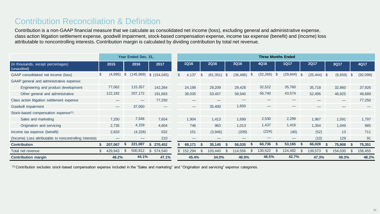## Contribution Reconciliation & Definition

Contribution is a non-GAAP financial measure that we calculate as consolidated net income (loss), excluding general and administrative expense, class action litigation settlement expense, goodwill impairment, stock-based compensation expense, income tax expense (benefit) and (income) loss attributable to noncontrolling interests. Contribution margin is calculated by dividing contribution by total net revenue.

|                                                        |     |                                 |                | Year Ended Dec. 31,      |                          |                | <b>Three Months Ended</b>       |     |             |               |           |      |                          |          |                                 |  |             |          |                          |          |          |
|--------------------------------------------------------|-----|---------------------------------|----------------|--------------------------|--------------------------|----------------|---------------------------------|-----|-------------|---------------|-----------|------|--------------------------|----------|---------------------------------|--|-------------|----------|--------------------------|----------|----------|
| (in thousands, except percentages)<br>(unaudited)      |     | 2015                            |                | 2016                     | 2017                     |                | <b>1Q16</b>                     |     | <b>2Q16</b> |               | 3Q16      |      | 4Q16                     |          | <b>1Q17</b>                     |  | <b>2Q17</b> |          | 3Q17                     |          | 4Q17     |
| GAAP consolidated net income (loss)                    | \$  | (4,995)                         | $\mathfrak{S}$ | (145, 969)               | \$(154,045)              | $\mathfrak{L}$ | 4,137                           | \$. | (81, 351)   | $\mathcal{S}$ | (36, 486) | ৾ঌ   | (32, 269)                | - \$     | (29,844)                        |  | (25, 444)   | <b>S</b> | (6,659)                  | \$       | (92,098) |
| GAAP general and administrative expense:               |     |                                 |                |                          |                          |                |                                 |     |             |               |           |      |                          |          |                                 |  |             |          |                          |          |          |
| Engineering and product development                    |     | 77,062                          |                | 115,357                  | 142,264                  |                | 24,198                          |     | 29,209      |               | 29,428    |      | 32,522                   |          | 35,760                          |  | 35,718      |          | 32,860                   |          | 37,926   |
| Other general and administrative                       |     | 122,182                         |                | 207,172                  | 191,683                  |                | 38,035                          |     | 53,457      |               | 58,940    |      | 56,740                   |          | 43,574                          |  | 52,495      |          | 46,925                   |          | 48,689   |
| Class action litigation settlement expense             |     |                                 |                | $\overline{\phantom{0}}$ | 77,250                   |                |                                 |     |             |               |           |      |                          |          |                                 |  |             |          | $\overline{\phantom{0}}$ |          | 77,250   |
| Goodwill impairment                                    |     | $\hspace{0.1mm}-\hspace{0.1mm}$ |                | 37,050                   | $\overline{\phantom{0}}$ |                | $\hspace{0.1mm}-\hspace{0.1mm}$ |     | 35,400      |               | 1,650     |      |                          |          |                                 |  |             |          |                          |          |          |
| Stock-based compensation expense <sup>(1)</sup> :      |     |                                 |                |                          |                          |                |                                 |     |             |               |           |      |                          |          |                                 |  |             |          |                          |          |          |
| Sales and marketing                                    |     | 7,250                           |                | 7,546                    | 7,654                    |                | 1,904                           |     | 1,413       |               | 1,699     |      | 2,530                    |          | 2,299                           |  | 1,967       |          | 1,591                    |          | 1,797    |
| Origination and servicing                              |     | 2,735                           |                | 4,159                    | 4,804                    |                | 746                             |     | 963         |               | 1,013     |      | 1,437                    |          | 1,416                           |  | 1,354       |          | 1,049                    |          | 985      |
| Income tax expense (benefit)                           |     | 2,833                           |                | (4,228)                  | 632                      |                | 151                             |     | (3,946)     |               | (209)     |      | (224)                    |          | (40)                            |  | (52)        |          | 13                       |          | 711      |
| (Income) Loss attributable to noncontrolling interests |     |                                 |                |                          | 210                      |                |                                 |     |             |               |           |      | $\overline{\phantom{0}}$ |          | $\hspace{0.1mm}-\hspace{0.1mm}$ |  | (10)        |          | 129                      |          | 91       |
| <b>Contribution</b>                                    |     | 207,067                         | - 30           | 221,087                  | \$270,452                |                | 69,171                          | -55 | 35,145      | - S           | 56,035    | ు    | 60,736                   | - 5      | 53,165                          |  | 66,028      |          | 75,908                   |          | 75,351   |
| Total net revenue                                      | \$. | 429,943                         | R.             | 500,812                  | \$ 574,540               |                | 152,294                         | \$. | 103,440     | \$            | 114,556   | - 35 | 130,522                  | <b>S</b> | 124,482                         |  | 139,573     | \$.      | 154,030                  | <b>S</b> | 156,455  |
| <b>Contribution margin</b>                             |     | 48.2%                           |                | 44.1%                    | 47.1%                    |                | 45.4%                           |     | 34.0%       |               | 48.9%     |      | 46.5%                    |          | 42.7%                           |  | 47.3%       |          | 49.3%                    |          | 48.2%    |

(1) Contribution excludes stock-based compensation expense included in the "Sales and marketing" and "Origination and servicing" expense categories.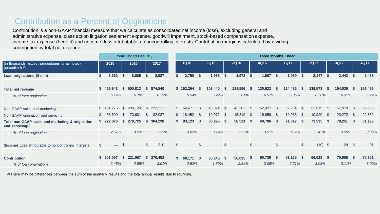## Contribution as a Percent of Originations

Contribution is a non-GAAP financial measure that we calculate as consolidated net income (loss), excluding general and administrative expense, class action litigation settlement expense, goodwill impairment, stock-based compensation expense, income tax expense (benefit) and (income) loss attributable to noncontrolling interests. Contribution margin is calculated by dividing contribution by total net revenue.

|                                                                         | Year Ended Dec. 31, |                          |     |                          |          |           |              | <b>Three Months Ended</b> |  |              |                          |               |         |          |                          |      |             |          |             |              |         |               |         |
|-------------------------------------------------------------------------|---------------------|--------------------------|-----|--------------------------|----------|-----------|--------------|---------------------------|--|--------------|--------------------------|---------------|---------|----------|--------------------------|------|-------------|----------|-------------|--------------|---------|---------------|---------|
| (in thousands, except percentages or as noted)<br>(unaudited) $(1)$     |                     | 2015                     |     | 2016                     |          | 2017      |              | <b>1Q16</b>               |  |              | <b>2Q16</b>              |               | 3Q16    |          | 4Q16                     |      | <b>1Q17</b> |          | <b>2Q17</b> |              | 3Q17    |               | 4Q17    |
| Loan originations (\$ mm)                                               | \$                  | 8,362                    | \$. | 8,665                    | l S      | 8,987     |              | 2,750                     |  | \$           | 1,955                    | <b>S</b>      | 1,972   | <b>S</b> | 1,987                    | -\$  | 1,959       | - \$     | 2,147       | <b>S</b>     | 2,443   | -S            | 2,438   |
|                                                                         |                     |                          |     |                          |          |           |              |                           |  |              |                          |               |         |          |                          |      |             |          |             |              |         |               |         |
| <b>Total net revenue</b>                                                |                     | \$429.943                | s.  | 500,812                  | S.       | 574,540   |              | \$152,294                 |  | S            | 103,440                  | - 5           | 114,556 | - 5      | 130,522                  | - 5  | 124,482     | - 5      | 139,573     | S.           | 154,030 | -S            | 156,455 |
| % of loan originations                                                  |                     | 5.14%                    |     | 5.78%                    |          | 6.39%     |              | 5.54%                     |  |              | 5.29%                    |               | 5.81%   |          | 6.57%                    |      | 6.36%       |          | 6.50%       |              | 6.31%   |               | 6.42%   |
|                                                                         |                     |                          |     |                          |          |           |              |                           |  |              |                          |               |         |          |                          |      |             |          |             |              |         |               |         |
| Non-GAAP sales and marketing                                            |                     | \$164,276                | \$  | 209,124                  |          | \$222,211 |              | \$64,671                  |  | S            | 48,324                   | $\mathcal{S}$ | 43,202  | <b>S</b> | 52,927                   | - \$ | 52,284      | <b>S</b> | 53,615      | S.           | 57,979  | <sup>\$</sup> | 58,333  |
| Non-GAAP origination and servicing                                      | S.                  | 58.600                   | \$. | 70.601                   | \$.      | 82,087    |              | \$18,452                  |  | <b>S</b>     | 19,971                   | <b>S</b>      | 15,319  | <b>S</b> | 16,859                   | - \$ | 19,033      | - \$     | 19,920      | $\mathbb{S}$ | 20,272  | - \$          | 22,862  |
| Total non-GAAP sales and marketing & origination<br>and servicing $(1)$ |                     | .876<br>\$222            | s   | 279,725                  | S.       | 304,298   |              | 83,123                    |  | - 5          | 68,295                   | <b>S</b>      | 58,521  | - S      | 69,786                   | - 5  | 71,317      | - 5      | 73,535      | - 5          | 78,251  | - 5           | 81,195  |
| % of loan originations                                                  |                     | 2.67%                    |     | 3.23%                    |          | 3.39%     |              | 3.02%                     |  |              | 3.49%                    |               | 2.97%   |          | 3.51%                    |      | 3.64%       |          | 3.43%       |              | 3.20%   |               | 3.33%   |
|                                                                         |                     |                          |     |                          |          |           |              |                           |  |              |                          |               |         |          |                          |      |             |          |             |              |         |               |         |
| (Income) Loss attributable to noncontrolling interests                  | $\mathbb{S}$        | $\overline{\phantom{0}}$ | \$. | $\overline{\phantom{0}}$ | <b>S</b> | 210       | $\mathbb{S}$ | $\overline{\phantom{0}}$  |  | $\mathbb{S}$ | $\overline{\phantom{0}}$ | $\mathcal{S}$ | $-$ \$  |          | $\overline{\phantom{0}}$ | - \$ | $-$ \$      |          | $(10)$ \$   |              | 129     | $\mathbb{S}$  | 91      |
|                                                                         |                     |                          |     |                          |          |           |              |                           |  |              |                          |               |         |          |                          |      |             |          |             |              |         |               |         |
| <b>Contribution</b>                                                     |                     | 207,067                  | S   | 221,087                  | S.       | 270,452   |              | 69,171                    |  | - \$         | 35,145                   | - 5           | 56,035  | - 5      | 60,736                   | - S  | 53,165      |          | 66,028      | - 35         | 75,908  | -5            | 75,351  |
| % of loan originations                                                  |                     | 2.48%                    |     | 2.55%                    |          | 3.01%     |              | 2.52%                     |  |              | 1.80%                    |               | 2.84%   |          | 3.06%                    |      | 2.71%       |          | 3.08%       |              | 3.11%   |               | 3.09%   |

(1) There may be differences between the sum of the quarterly results and the total annual results due to rounding.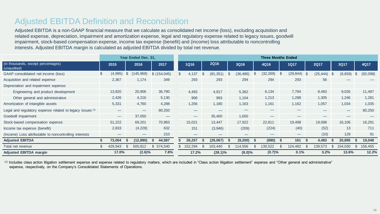## Adjusted EBITDA Definition and Reconciliation

Adjusted EBITDA is a non-GAAP financial measure that we calculate as consolidated net income (loss), excluding acquisition and related expense, depreciation, impairment and amortization expense, legal and regulatory expense related to legacy issues, goodwill impairment, stock-based compensation expense, income tax expense (benefit) and (income) loss attributable to noncontrolling interests. Adjusted EBITDA margin is calculated as adjusted EBITDA divided by total net revenue.

|                                                             |                | Year Ended Dec. 31, |             | <b>Three Months Ended</b> |                               |  |             |               |           |     |                                 |    |                          |      |             |      |         |     |          |
|-------------------------------------------------------------|----------------|---------------------|-------------|---------------------------|-------------------------------|--|-------------|---------------|-----------|-----|---------------------------------|----|--------------------------|------|-------------|------|---------|-----|----------|
| (in thousands, except percentages)<br>(unaudited)           | 2015           | 2016                | 2017        |                           | <b>1Q16</b>                   |  | <b>2Q16</b> |               | 3Q16      |     | 4Q16                            |    | <b>1Q17</b>              |      | <b>2Q17</b> |      | 3Q17    |     | 4Q17     |
| GAAP consolidated net income (loss)                         | \$<br>(4,995)  | 145,969)<br>S       | \$(154,045) | \$.                       | .137                          |  | (81, 351)   | $\mathcal{S}$ | (36, 486) | \$. | (32, 269)                       | -S | $(29, 844)$ \$           |      | (25, 444)   | - \$ | (6,659) | \$  | (92,098) |
| Acquisition and related expense                             | 2,367          | 1,174               | 349         |                           | 293                           |  | 293         |               | 294       |     | 294                             |    | 293                      |      | 56          |      |         |     |          |
| Depreciation and impairment expense:                        |                |                     |             |                           |                               |  |             |               |           |     |                                 |    |                          |      |             |      |         |     |          |
| Engineering and product development                         | 13,820         | 20,906              | 36,790      |                           | 4,493                         |  | 4,917       |               | 5,362     |     | 6,134                           |    | 7,794                    |      | 8,483       |      | 9,026   |     | 11,487   |
| Other general and administrative                            | 2,426          | 4,216               | 5,130       |                           | 906                           |  | 993         |               | 1,104     |     | 1,213                           |    | 1,298                    |      | 1,305       |      | 1,246   |     | 1,281    |
| Amortization of intangible assets                           | 5,331          | 4,760               | 4,288       |                           | 1,256                         |  | 1,180       |               | 1,163     |     | 1,161                           |    | 1,162                    |      | 1,057       |      | 1,034   |     | 1,035    |
| Legal and regulatory expense related to legacy issues $(1)$ |                |                     | 80,250      |                           |                               |  |             |               |           |     |                                 |    |                          |      |             |      |         |     | 80,250   |
| Goodwill impairment                                         |                | 37,050              |             |                           | $\overbrace{\phantom{13333}}$ |  | 35,400      |               | 1,650     |     | $\hspace{0.1mm}-\hspace{0.1mm}$ |    |                          |      |             |      |         |     |          |
| Stock-based compensation expense                            | 51,222         | 69,201              | 70,983      |                           | 15,021                        |  | 13,447      |               | 17,922    |     | 22,811                          |    | 19,498                   |      | 19,088      |      | 16,106  |     | 16,291   |
| Income tax expense (benefit)                                | 2,833          | (4,228)             | 632         |                           | 151                           |  | (3,946)     |               | (209)     |     | (224)                           |    | (40)                     |      | (52)        |      | 13      |     | 711      |
| (Income) Loss attributable to noncontrolling interests      |                |                     | 210         |                           |                               |  | _           |               |           |     |                                 |    | $\overline{\phantom{0}}$ |      | (10)        |      | 129     |     | 91       |
| <b>Adjusted EBITDA</b>                                      | 73,004         | (12, 890)           | 44,587      |                           | 26,257                        |  | (29,067)    | -56           | (9,200)   | -5  | (880)                           |    | 161                      | - 5  | 4,483       |      | 20,895  |     | 19,048   |
| Total net revenue                                           | \$.<br>429,943 | 500,812<br>- 35     | 574,540     |                           | 152,294                       |  | 103,440     | .Æ            | 114,556   | S   | 130,522                         | \$ | 124,482                  | - \$ | 139,573     |      | 154,030 | \$. | 156,455  |
| <b>Adjusted EBITDA margin</b>                               | 17.0%          | $(2.6)\%$           | 7.8%        |                           | 17.2%                         |  | $(28.1)\%$  |               | $(8.0)\%$ |     | (0.7)%                          |    | 0.1%                     |      | 3.2%        |      | 13.6%   |     | 12.2%    |

(1) Includes class action litigation settlement expense and expense related to regulatory matters, which are included in "Class action litigation settlement" expense and "Other general and administrative" expense, respectively, on the Company's Consolidated Statements of Operations.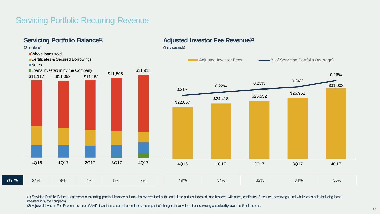## Servicing Portfolio Recurring Revenue

invested in by the company).



(1) Servicing Portfolio Balance represents outstanding principal balance of bans that we serviced at the end of the periods indicated, and financed with notes, certificates & secured borrowings, and whole loans sold (inclu

(2) Adjusted Investor Fee Revenue is a non-GAAP financial measure that excludes the impact of changes in fair value of our servicing asset/liability over the life of the loan.

**Adjusted Investor Fee Revenue(2)**

**15**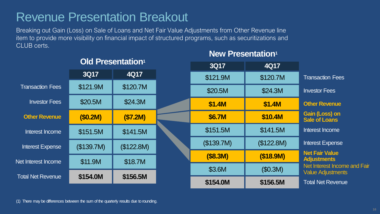## Revenue Presentation Breakout

**Old Presentation<sup>1</sup>**

Breaking out Gain (Loss) on Sale of Loans and Net Fair Value Adjustments from Other Revenue line item to provide more visibility on financial impact of structured programs, such as securitizations and CLUB certs.

|                          |            | <u>UIU FIESENIJUUT</u> | 3Q17       | 4Q17       |                                                          |
|--------------------------|------------|------------------------|------------|------------|----------------------------------------------------------|
|                          | 3Q17       | 4Q17                   | \$121.9M   | \$120.7M   | <b>Transaction Fees</b>                                  |
| <b>Transaction Fees</b>  | \$121.9M   | \$120.7M               | \$20.5M    | \$24.3M    | <b>Investor Fees</b>                                     |
| <b>Investor Fees</b>     | \$20.5M    | \$24.3M                | \$1.4M     | \$1.4M     | <b>Other Revenue</b>                                     |
| <b>Other Revenue</b>     | (S0.2M)    | (S7.2M)                | \$6.7M     | \$10.4M    | Gain (Loss) on<br><b>Sale of Loans</b>                   |
| Interest Income          | \$151.5M   | \$141.5M               | \$151.5M   | \$141.5M   | Interest Income                                          |
| <b>Interest Expense</b>  | (\$139.7M) | (\$122.8M)             | (\$139.7M) | (\$122.8M) | <b>Interest Expense</b>                                  |
| Net Interest Income      | \$11.9M    | \$18.7M                | (S8.3M)    | (\$18.9M)  | <b>Net Fair Value</b><br><b>Adjustments</b>              |
|                          |            |                        | \$3.6M     | (\$0.3M)   | Net Interest Income and Fair<br><b>Value Adjustments</b> |
| <b>Total Net Revenue</b> | \$154.0M   | \$156.5M               | \$154.0M   | \$156.5M   | <b>Total Net Revenue</b>                                 |

### **New Presentation<sup>1</sup>**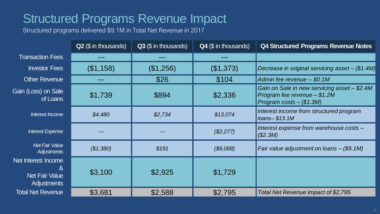## Structured Programs Revenue Impact

Structured programs delivered \$9.1M in Total Net Revenue in 2017

|                                                                         | Q2 (\$ in thousands) | Q3 (\$ in thousands) | Q4 (\$ in thousands) | Q4 Structured Programs Revenue Notes                                                                       |
|-------------------------------------------------------------------------|----------------------|----------------------|----------------------|------------------------------------------------------------------------------------------------------------|
| <b>Transaction Fees</b>                                                 | ---                  |                      |                      |                                                                                                            |
| <b>Investor Fees</b>                                                    | (\$1,158)            | (\$1,256)            | (\$1,373)            | Decrease in original servicing asset - (\$1.4M)                                                            |
| <b>Other Revenue</b>                                                    | ---                  | \$26                 | \$104                | Admin fee revenue -- \$0.1M                                                                                |
| Gain (Loss) on Sale<br>of Loans                                         | \$1,739              | \$894                | \$2,336              | Gain on Sale in new servicing asset - \$2.4M<br>Program fee revenue - \$1.2M<br>Program costs $-$ (\$1.3M) |
| Interest Income                                                         | \$4,480              | \$2,734              | \$13,074             | Interest income from structured program<br>$Ioans- $13.1M$                                                 |
| Interest Expense                                                        |                      |                      | (\$2,277)            | Interest expense from warehouse costs -<br>(\$2.3M)                                                        |
| <b>Net Fair Value</b><br>Adjustments                                    | (\$1,380)            | \$191                | (\$9,068)            | Fair value adjustment on loans $-$ (\$9.1M)                                                                |
| Net Interest Income<br>&<br><b>Net Fair Value</b><br><b>Adjustments</b> | \$3,100              | \$2,925              | \$1,729              |                                                                                                            |
| <b>Total Net Revenue</b>                                                | \$3,681              | \$2,588              | \$2,795              | Total Net Revenue impact of \$2,795                                                                        |